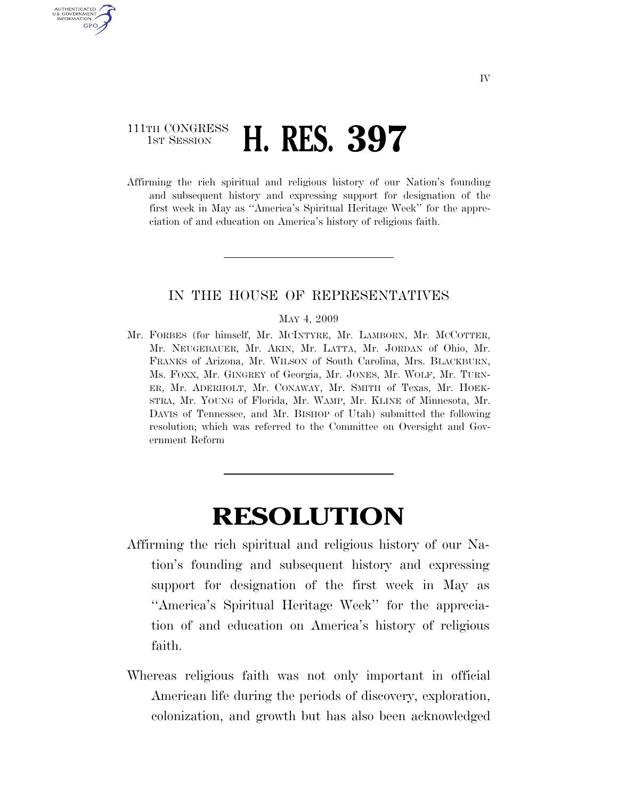## 111TH CONGRESS **1ST SESSION <b>H. RES. 397**

U.S. GOVERNMENT GPO

> Affirming the rich spiritual and religious history of our Nation's founding and subsequent history and expressing support for designation of the first week in May as ''America's Spiritual Heritage Week'' for the appreciation of and education on America's history of religious faith.

## IN THE HOUSE OF REPRESENTATIVES

## MAY 4, 2009

Mr. FORBES (for himself, Mr. MCINTYRE, Mr. LAMBORN, Mr. MCCOTTER, Mr. NEUGEBAUER, Mr. AKIN, Mr. LATTA, Mr. JORDAN of Ohio, Mr. FRANKS of Arizona, Mr. WILSON of South Carolina, Mrs. BLACKBURN, Ms. FOXX, Mr. GINGREY of Georgia, Mr. JONES, Mr. WOLF, Mr. TURN-ER, Mr. ADERHOLT, Mr. CONAWAY, Mr. SMITH of Texas, Mr. HOEK-STRA, Mr. YOUNG of Florida, Mr. WAMP, Mr. KLINE of Minnesota, Mr. DAVIS of Tennessee, and Mr. BISHOP of Utah) submitted the following resolution; which was referred to the Committee on Oversight and Government Reform

## **RESOLUTION**

- Affirming the rich spiritual and religious history of our Nation's founding and subsequent history and expressing support for designation of the first week in May as ''America's Spiritual Heritage Week'' for the appreciation of and education on America's history of religious faith.
- Whereas religious faith was not only important in official American life during the periods of discovery, exploration, colonization, and growth but has also been acknowledged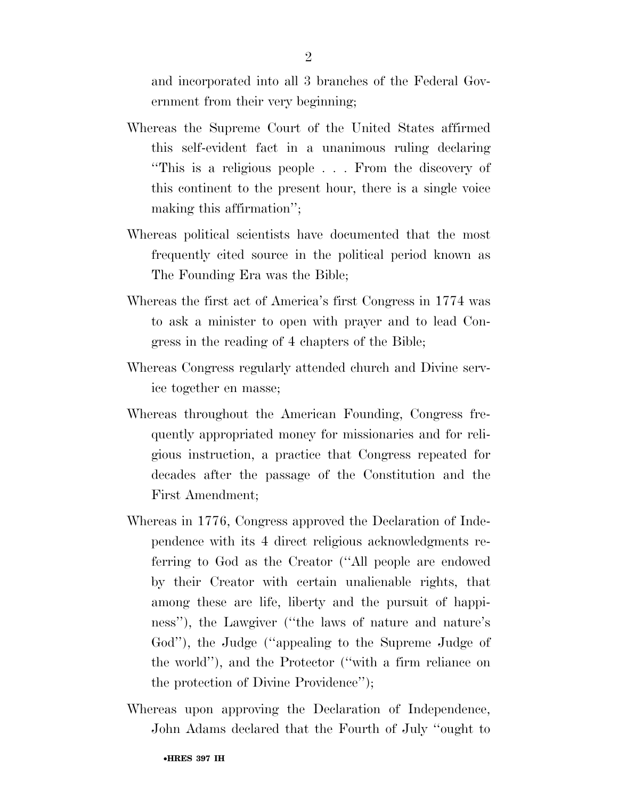and incorporated into all 3 branches of the Federal Government from their very beginning;

- Whereas the Supreme Court of the United States affirmed this self-evident fact in a unanimous ruling declaring ''This is a religious people . . . From the discovery of this continent to the present hour, there is a single voice making this affirmation'';
- Whereas political scientists have documented that the most frequently cited source in the political period known as The Founding Era was the Bible;
- Whereas the first act of America's first Congress in 1774 was to ask a minister to open with prayer and to lead Congress in the reading of 4 chapters of the Bible;
- Whereas Congress regularly attended church and Divine service together en masse;
- Whereas throughout the American Founding, Congress frequently appropriated money for missionaries and for religious instruction, a practice that Congress repeated for decades after the passage of the Constitution and the First Amendment;
- Whereas in 1776, Congress approved the Declaration of Independence with its 4 direct religious acknowledgments referring to God as the Creator (''All people are endowed by their Creator with certain unalienable rights, that among these are life, liberty and the pursuit of happiness''), the Lawgiver (''the laws of nature and nature's God''), the Judge (''appealing to the Supreme Judge of the world''), and the Protector (''with a firm reliance on the protection of Divine Providence'');
- Whereas upon approving the Declaration of Independence, John Adams declared that the Fourth of July ''ought to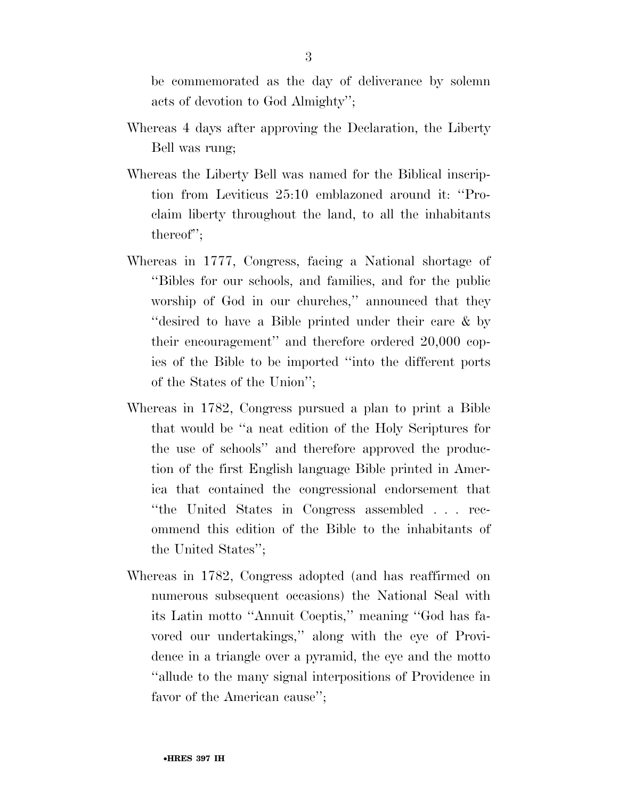be commemorated as the day of deliverance by solemn acts of devotion to God Almighty'';

- Whereas 4 days after approving the Declaration, the Liberty Bell was rung;
- Whereas the Liberty Bell was named for the Biblical inscription from Leviticus 25:10 emblazoned around it: ''Proclaim liberty throughout the land, to all the inhabitants thereof'';
- Whereas in 1777, Congress, facing a National shortage of ''Bibles for our schools, and families, and for the public worship of God in our churches," announced that they ''desired to have a Bible printed under their care & by their encouragement'' and therefore ordered 20,000 copies of the Bible to be imported ''into the different ports of the States of the Union'';
- Whereas in 1782, Congress pursued a plan to print a Bible that would be ''a neat edition of the Holy Scriptures for the use of schools'' and therefore approved the production of the first English language Bible printed in America that contained the congressional endorsement that ''the United States in Congress assembled . . . recommend this edition of the Bible to the inhabitants of the United States'';
- Whereas in 1782, Congress adopted (and has reaffirmed on numerous subsequent occasions) the National Seal with its Latin motto ''Annuit Coeptis,'' meaning ''God has favored our undertakings,'' along with the eye of Providence in a triangle over a pyramid, the eye and the motto ''allude to the many signal interpositions of Providence in favor of the American cause'';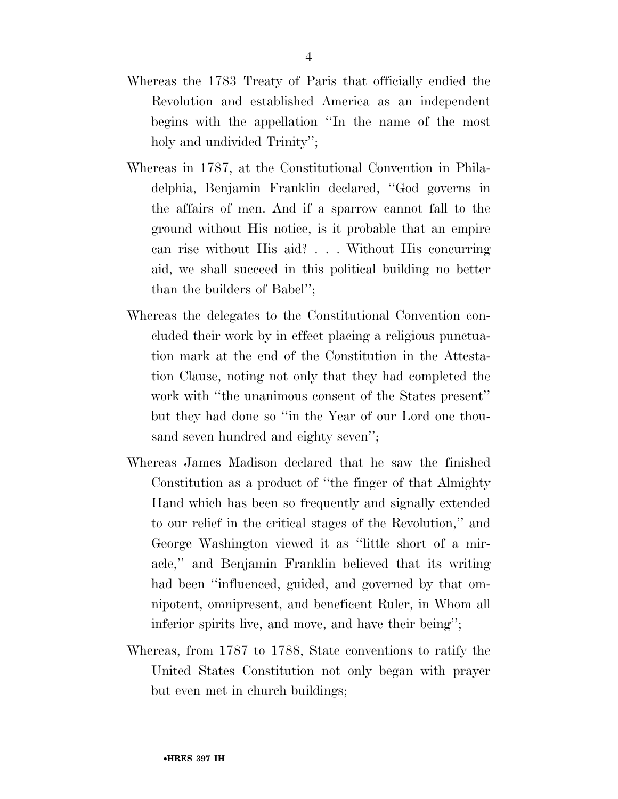- Whereas the 1783 Treaty of Paris that officially endied the Revolution and established America as an independent begins with the appellation ''In the name of the most holy and undivided Trinity";
- Whereas in 1787, at the Constitutional Convention in Philadelphia, Benjamin Franklin declared, ''God governs in the affairs of men. And if a sparrow cannot fall to the ground without His notice, is it probable that an empire can rise without His aid? . . . Without His concurring aid, we shall succeed in this political building no better than the builders of Babel'';
- Whereas the delegates to the Constitutional Convention concluded their work by in effect placing a religious punctuation mark at the end of the Constitution in the Attestation Clause, noting not only that they had completed the work with ''the unanimous consent of the States present'' but they had done so ''in the Year of our Lord one thousand seven hundred and eighty seven'';
- Whereas James Madison declared that he saw the finished Constitution as a product of ''the finger of that Almighty Hand which has been so frequently and signally extended to our relief in the critical stages of the Revolution,'' and George Washington viewed it as ''little short of a miracle,'' and Benjamin Franklin believed that its writing had been "influenced, guided, and governed by that omnipotent, omnipresent, and beneficent Ruler, in Whom all inferior spirits live, and move, and have their being'';
- Whereas, from 1787 to 1788, State conventions to ratify the United States Constitution not only began with prayer but even met in church buildings;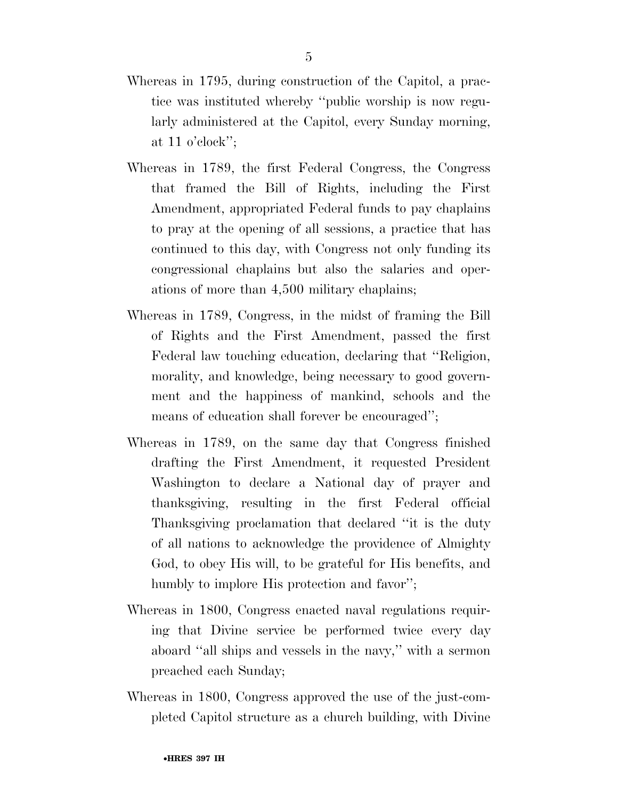- Whereas in 1795, during construction of the Capitol, a practice was instituted whereby ''public worship is now regularly administered at the Capitol, every Sunday morning, at 11 o'clock'';
- Whereas in 1789, the first Federal Congress, the Congress that framed the Bill of Rights, including the First Amendment, appropriated Federal funds to pay chaplains to pray at the opening of all sessions, a practice that has continued to this day, with Congress not only funding its congressional chaplains but also the salaries and operations of more than 4,500 military chaplains;
- Whereas in 1789, Congress, in the midst of framing the Bill of Rights and the First Amendment, passed the first Federal law touching education, declaring that ''Religion, morality, and knowledge, being necessary to good government and the happiness of mankind, schools and the means of education shall forever be encouraged'';
- Whereas in 1789, on the same day that Congress finished drafting the First Amendment, it requested President Washington to declare a National day of prayer and thanksgiving, resulting in the first Federal official Thanksgiving proclamation that declared ''it is the duty of all nations to acknowledge the providence of Almighty God, to obey His will, to be grateful for His benefits, and humbly to implore His protection and favor";
- Whereas in 1800, Congress enacted naval regulations requiring that Divine service be performed twice every day aboard ''all ships and vessels in the navy,'' with a sermon preached each Sunday;
- Whereas in 1800, Congress approved the use of the just-completed Capitol structure as a church building, with Divine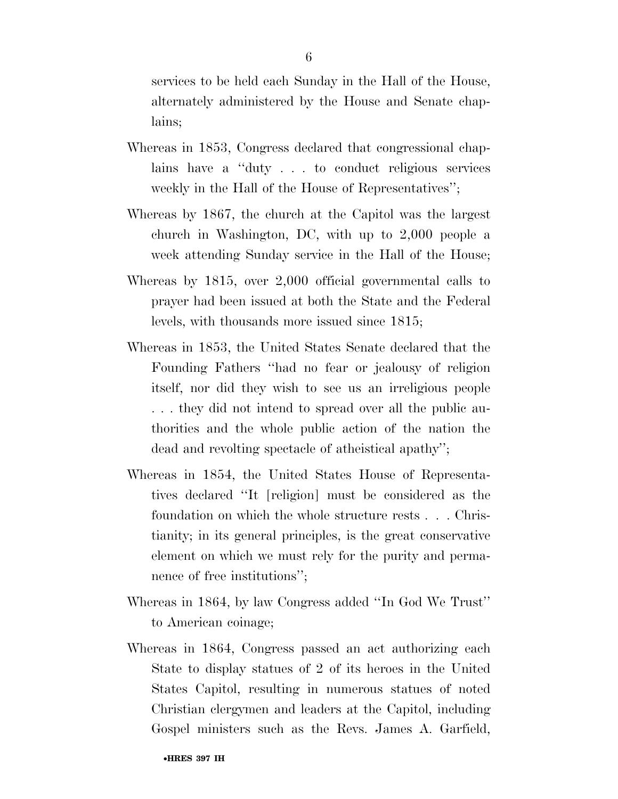services to be held each Sunday in the Hall of the House, alternately administered by the House and Senate chaplains;

- Whereas in 1853, Congress declared that congressional chaplains have a ''duty . . . to conduct religious services weekly in the Hall of the House of Representatives'';
- Whereas by 1867, the church at the Capitol was the largest church in Washington, DC, with up to 2,000 people a week attending Sunday service in the Hall of the House;
- Whereas by 1815, over 2,000 official governmental calls to prayer had been issued at both the State and the Federal levels, with thousands more issued since 1815;
- Whereas in 1853, the United States Senate declared that the Founding Fathers ''had no fear or jealousy of religion itself, nor did they wish to see us an irreligious people . . . they did not intend to spread over all the public authorities and the whole public action of the nation the dead and revolting spectacle of atheistical apathy'';
- Whereas in 1854, the United States House of Representatives declared ''It [religion] must be considered as the foundation on which the whole structure rests . . . Christianity; in its general principles, is the great conservative element on which we must rely for the purity and permanence of free institutions'';
- Whereas in 1864, by law Congress added ''In God We Trust'' to American coinage;
- Whereas in 1864, Congress passed an act authorizing each State to display statues of 2 of its heroes in the United States Capitol, resulting in numerous statues of noted Christian clergymen and leaders at the Capitol, including Gospel ministers such as the Revs. James A. Garfield,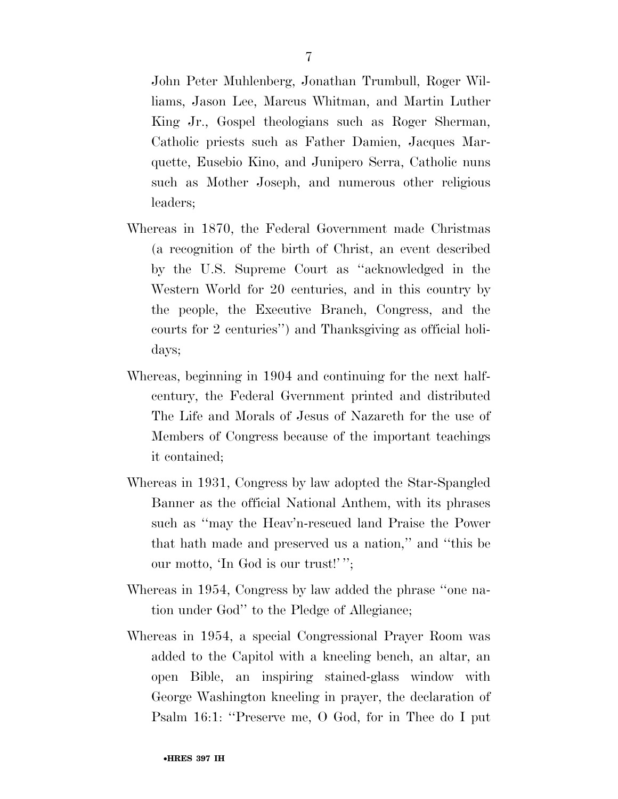liams, Jason Lee, Marcus Whitman, and Martin Luther King Jr., Gospel theologians such as Roger Sherman, Catholic priests such as Father Damien, Jacques Marquette, Eusebio Kino, and Junipero Serra, Catholic nuns such as Mother Joseph, and numerous other religious leaders;

- Whereas in 1870, the Federal Government made Christmas (a recognition of the birth of Christ, an event described by the U.S. Supreme Court as ''acknowledged in the Western World for 20 centuries, and in this country by the people, the Executive Branch, Congress, and the courts for 2 centuries'') and Thanksgiving as official holidays;
- Whereas, beginning in 1904 and continuing for the next halfcentury, the Federal Gvernment printed and distributed The Life and Morals of Jesus of Nazareth for the use of Members of Congress because of the important teachings it contained;
- Whereas in 1931, Congress by law adopted the Star-Spangled Banner as the official National Anthem, with its phrases such as ''may the Heav'n-rescued land Praise the Power that hath made and preserved us a nation,'' and ''this be our motto, 'In God is our trust!' '';
- Whereas in 1954, Congress by law added the phrase ''one nation under God'' to the Pledge of Allegiance;
- Whereas in 1954, a special Congressional Prayer Room was added to the Capitol with a kneeling bench, an altar, an open Bible, an inspiring stained-glass window with George Washington kneeling in prayer, the declaration of Psalm 16:1: "Preserve me, O God, for in Thee do I put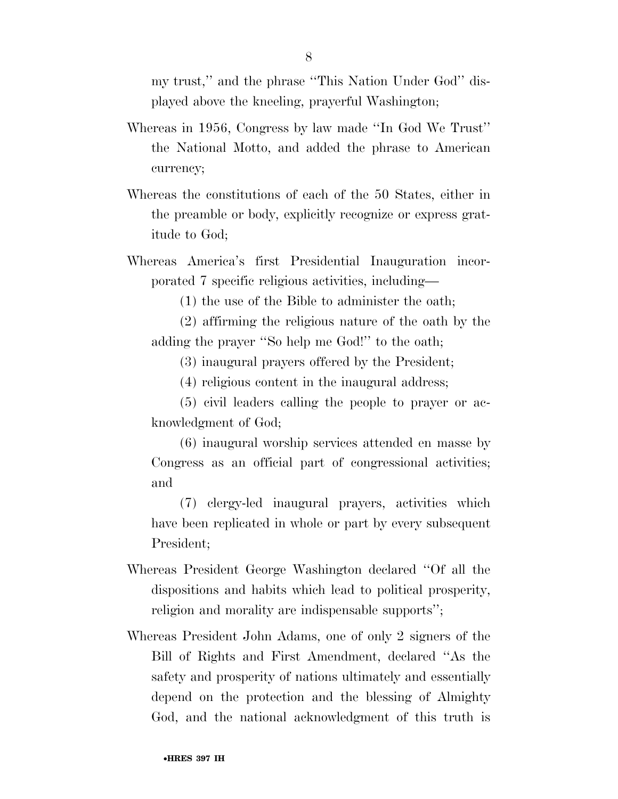my trust,'' and the phrase ''This Nation Under God'' displayed above the kneeling, prayerful Washington;

- Whereas in 1956, Congress by law made ''In God We Trust'' the National Motto, and added the phrase to American currency;
- Whereas the constitutions of each of the 50 States, either in the preamble or body, explicitly recognize or express gratitude to God;
- Whereas America's first Presidential Inauguration incorporated 7 specific religious activities, including—
	- (1) the use of the Bible to administer the oath;
	- (2) affirming the religious nature of the oath by the adding the prayer ''So help me God!'' to the oath;
		- (3) inaugural prayers offered by the President;
		- (4) religious content in the inaugural address;
	- (5) civil leaders calling the people to prayer or acknowledgment of God;
	- (6) inaugural worship services attended en masse by Congress as an official part of congressional activities; and
	- (7) clergy-led inaugural prayers, activities which have been replicated in whole or part by every subsequent President;
- Whereas President George Washington declared ''Of all the dispositions and habits which lead to political prosperity, religion and morality are indispensable supports'';
- Whereas President John Adams, one of only 2 signers of the Bill of Rights and First Amendment, declared ''As the safety and prosperity of nations ultimately and essentially depend on the protection and the blessing of Almighty God, and the national acknowledgment of this truth is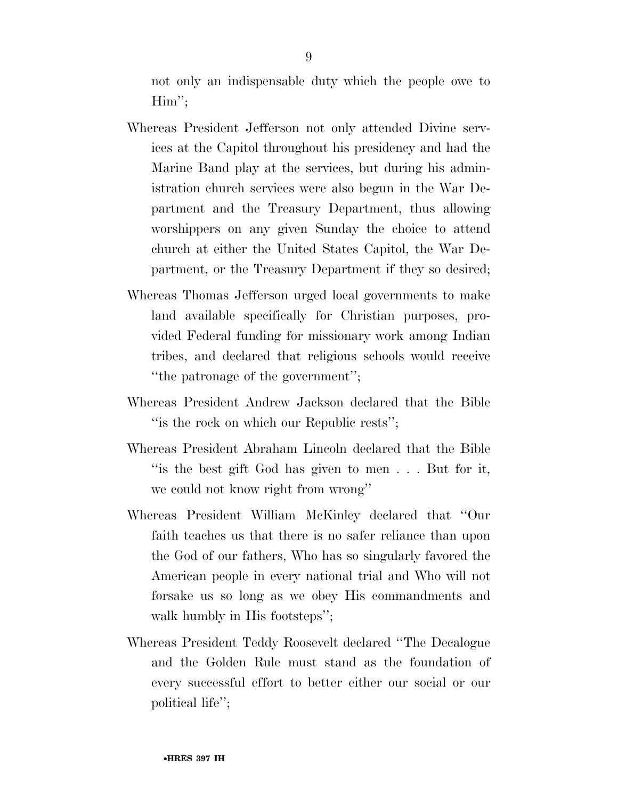not only an indispensable duty which the people owe to Him'';

- Whereas President Jefferson not only attended Divine services at the Capitol throughout his presidency and had the Marine Band play at the services, but during his administration church services were also begun in the War Department and the Treasury Department, thus allowing worshippers on any given Sunday the choice to attend church at either the United States Capitol, the War Department, or the Treasury Department if they so desired;
- Whereas Thomas Jefferson urged local governments to make land available specifically for Christian purposes, provided Federal funding for missionary work among Indian tribes, and declared that religious schools would receive ''the patronage of the government'';
- Whereas President Andrew Jackson declared that the Bible "is the rock on which our Republic rests";
- Whereas President Abraham Lincoln declared that the Bible ''is the best gift God has given to men . . . But for it, we could not know right from wrong''
- Whereas President William McKinley declared that ''Our faith teaches us that there is no safer reliance than upon the God of our fathers, Who has so singularly favored the American people in every national trial and Who will not forsake us so long as we obey His commandments and walk humbly in His footsteps";
- Whereas President Teddy Roosevelt declared ''The Decalogue and the Golden Rule must stand as the foundation of every successful effort to better either our social or our political life'';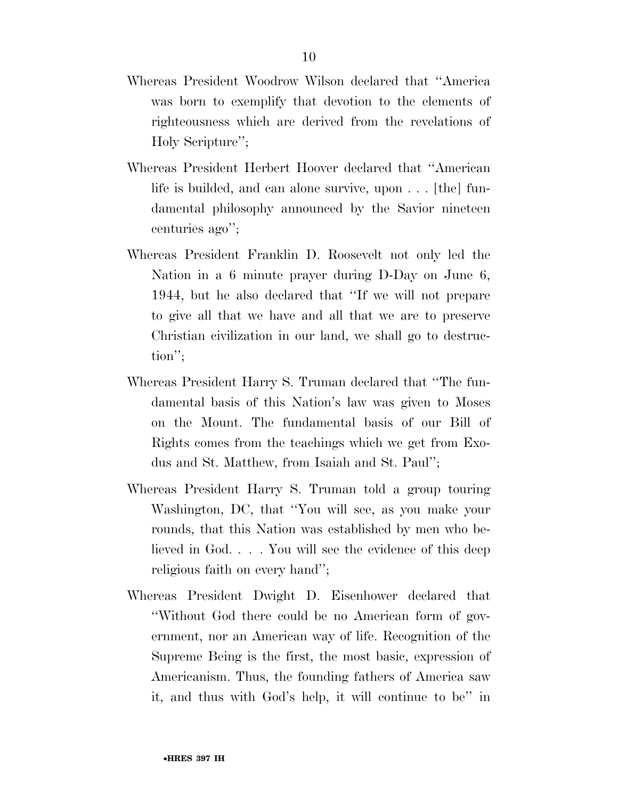- Whereas President Woodrow Wilson declared that ''America was born to exemplify that devotion to the elements of righteousness which are derived from the revelations of Holy Scripture'';
- Whereas President Herbert Hoover declared that ''American life is builded, and can alone survive, upon . . . [the] fundamental philosophy announced by the Savior nineteen centuries ago'';
- Whereas President Franklin D. Roosevelt not only led the Nation in a 6 minute prayer during D-Day on June 6, 1944, but he also declared that ''If we will not prepare to give all that we have and all that we are to preserve Christian civilization in our land, we shall go to destruction'';
- Whereas President Harry S. Truman declared that ''The fundamental basis of this Nation's law was given to Moses on the Mount. The fundamental basis of our Bill of Rights comes from the teachings which we get from Exodus and St. Matthew, from Isaiah and St. Paul'';
- Whereas President Harry S. Truman told a group touring Washington, DC, that ''You will see, as you make your rounds, that this Nation was established by men who believed in God. . . . You will see the evidence of this deep religious faith on every hand'';
- Whereas President Dwight D. Eisenhower declared that ''Without God there could be no American form of government, nor an American way of life. Recognition of the Supreme Being is the first, the most basic, expression of Americanism. Thus, the founding fathers of America saw it, and thus with God's help, it will continue to be'' in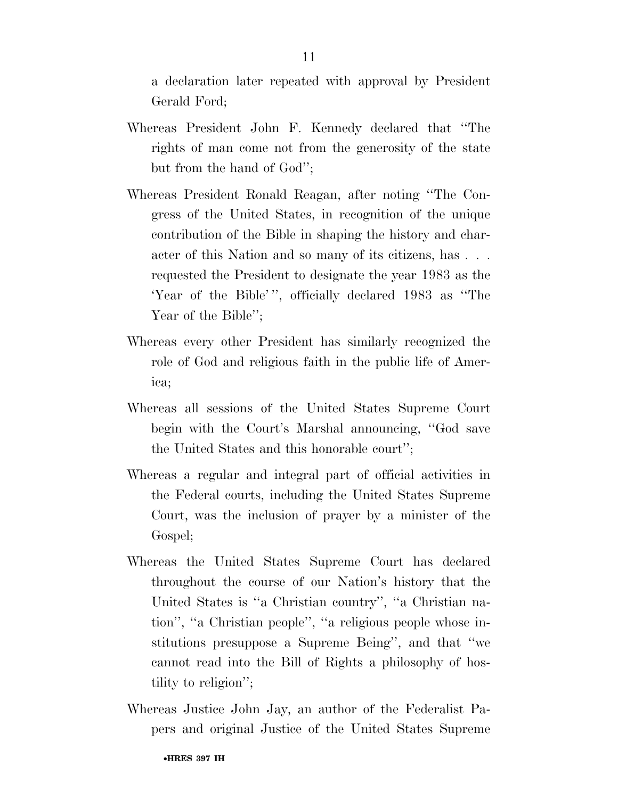a declaration later repeated with approval by President Gerald Ford;

- Whereas President John F. Kennedy declared that ''The rights of man come not from the generosity of the state but from the hand of God'';
- Whereas President Ronald Reagan, after noting ''The Congress of the United States, in recognition of the unique contribution of the Bible in shaping the history and character of this Nation and so many of its citizens, has . . . requested the President to designate the year 1983 as the 'Year of the Bible' '', officially declared 1983 as ''The Year of the Bible";
- Whereas every other President has similarly recognized the role of God and religious faith in the public life of America;
- Whereas all sessions of the United States Supreme Court begin with the Court's Marshal announcing, ''God save the United States and this honorable court'';
- Whereas a regular and integral part of official activities in the Federal courts, including the United States Supreme Court, was the inclusion of prayer by a minister of the Gospel;
- Whereas the United States Supreme Court has declared throughout the course of our Nation's history that the United States is ''a Christian country'', ''a Christian nation'', ''a Christian people'', ''a religious people whose institutions presuppose a Supreme Being'', and that ''we cannot read into the Bill of Rights a philosophy of hostility to religion'';
- Whereas Justice John Jay, an author of the Federalist Papers and original Justice of the United States Supreme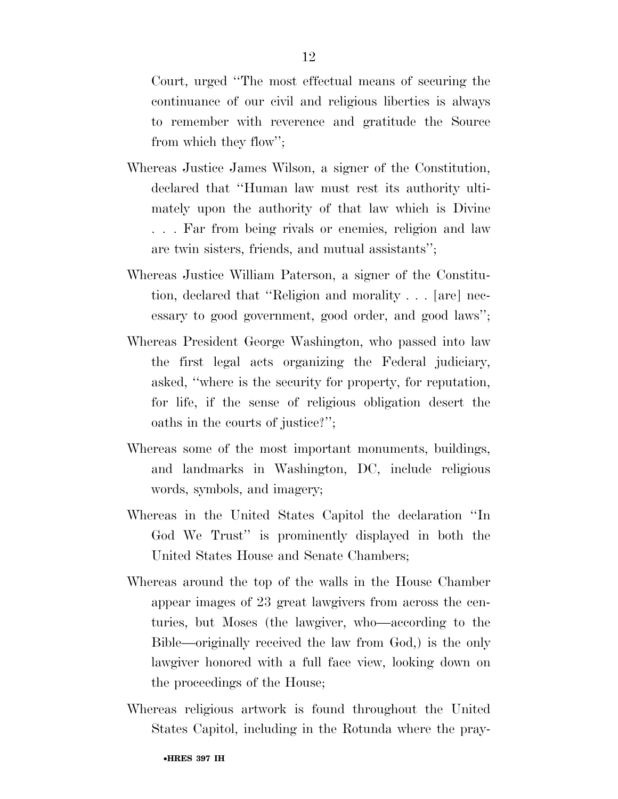Court, urged ''The most effectual means of securing the continuance of our civil and religious liberties is always to remember with reverence and gratitude the Source from which they flow'';

- Whereas Justice James Wilson, a signer of the Constitution, declared that ''Human law must rest its authority ultimately upon the authority of that law which is Divine . . . Far from being rivals or enemies, religion and law are twin sisters, friends, and mutual assistants'';
- Whereas Justice William Paterson, a signer of the Constitution, declared that ''Religion and morality . . . [are] necessary to good government, good order, and good laws'';
- Whereas President George Washington, who passed into law the first legal acts organizing the Federal judiciary, asked, ''where is the security for property, for reputation, for life, if the sense of religious obligation desert the oaths in the courts of justice?'';
- Whereas some of the most important monuments, buildings, and landmarks in Washington, DC, include religious words, symbols, and imagery;
- Whereas in the United States Capitol the declaration ''In God We Trust'' is prominently displayed in both the United States House and Senate Chambers;
- Whereas around the top of the walls in the House Chamber appear images of 23 great lawgivers from across the centuries, but Moses (the lawgiver, who—according to the Bible—originally received the law from God,) is the only lawgiver honored with a full face view, looking down on the proceedings of the House;
- Whereas religious artwork is found throughout the United States Capitol, including in the Rotunda where the pray-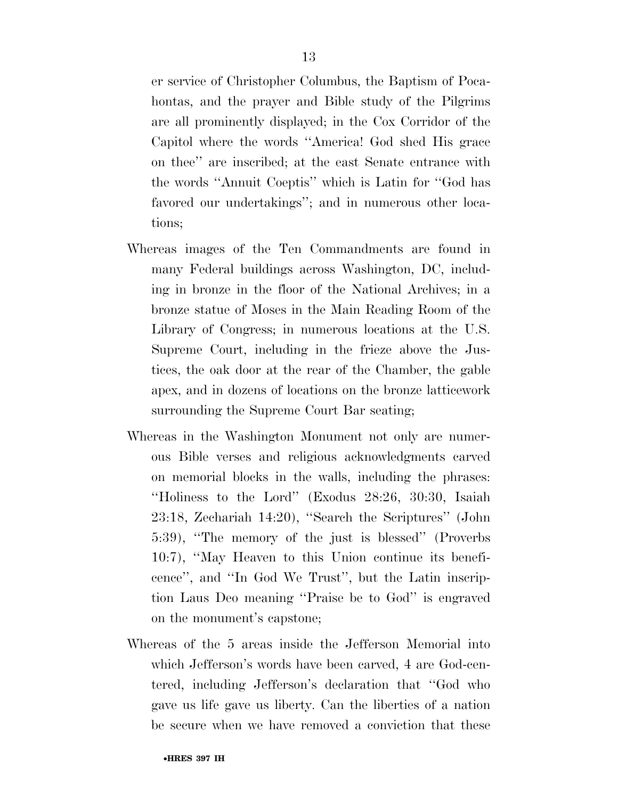er service of Christopher Columbus, the Baptism of Pocahontas, and the prayer and Bible study of the Pilgrims are all prominently displayed; in the Cox Corridor of the Capitol where the words ''America! God shed His grace on thee'' are inscribed; at the east Senate entrance with the words ''Annuit Coeptis'' which is Latin for ''God has favored our undertakings''; and in numerous other locations;

- Whereas images of the Ten Commandments are found in many Federal buildings across Washington, DC, including in bronze in the floor of the National Archives; in a bronze statue of Moses in the Main Reading Room of the Library of Congress; in numerous locations at the U.S. Supreme Court, including in the frieze above the Justices, the oak door at the rear of the Chamber, the gable apex, and in dozens of locations on the bronze latticework surrounding the Supreme Court Bar seating;
- Whereas in the Washington Monument not only are numerous Bible verses and religious acknowledgments carved on memorial blocks in the walls, including the phrases: ''Holiness to the Lord'' (Exodus 28:26, 30:30, Isaiah 23:18, Zechariah 14:20), ''Search the Scriptures'' (John 5:39), ''The memory of the just is blessed'' (Proverbs 10:7), ''May Heaven to this Union continue its beneficence'', and ''In God We Trust'', but the Latin inscription Laus Deo meaning ''Praise be to God'' is engraved on the monument's capstone;
- Whereas of the 5 areas inside the Jefferson Memorial into which Jefferson's words have been carved, 4 are God-centered, including Jefferson's declaration that ''God who gave us life gave us liberty. Can the liberties of a nation be secure when we have removed a conviction that these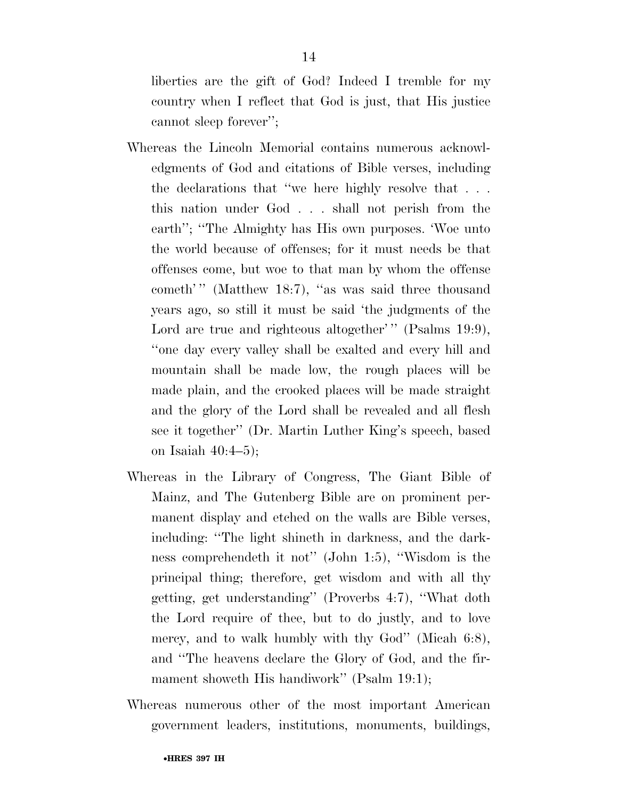liberties are the gift of God? Indeed I tremble for my country when I reflect that God is just, that His justice cannot sleep forever'';

- Whereas the Lincoln Memorial contains numerous acknowledgments of God and citations of Bible verses, including the declarations that ''we here highly resolve that . . . this nation under God . . . shall not perish from the earth''; ''The Almighty has His own purposes. 'Woe unto the world because of offenses; for it must needs be that offenses come, but woe to that man by whom the offense cometh'" (Matthew 18:7), "as was said three thousand years ago, so still it must be said 'the judgments of the Lord are true and righteous altogether'" (Psalms 19:9), ''one day every valley shall be exalted and every hill and mountain shall be made low, the rough places will be made plain, and the crooked places will be made straight and the glory of the Lord shall be revealed and all flesh see it together'' (Dr. Martin Luther King's speech, based on Isaiah 40:4–5);
- Whereas in the Library of Congress, The Giant Bible of Mainz, and The Gutenberg Bible are on prominent permanent display and etched on the walls are Bible verses, including: ''The light shineth in darkness, and the darkness comprehendeth it not'' (John 1:5), ''Wisdom is the principal thing; therefore, get wisdom and with all thy getting, get understanding'' (Proverbs 4:7), ''What doth the Lord require of thee, but to do justly, and to love mercy, and to walk humbly with thy God" (Micah 6:8), and ''The heavens declare the Glory of God, and the firmament showeth His handiwork'' (Psalm 19:1);
- Whereas numerous other of the most important American government leaders, institutions, monuments, buildings,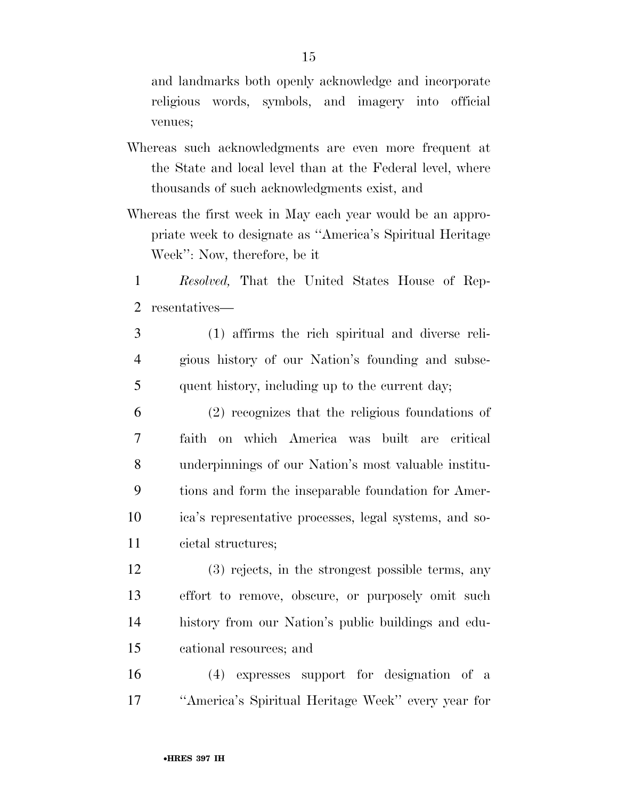and landmarks both openly acknowledge and incorporate religious words, symbols, and imagery into official venues;

- Whereas such acknowledgments are even more frequent at the State and local level than at the Federal level, where thousands of such acknowledgments exist, and
- Whereas the first week in May each year would be an appropriate week to designate as ''America's Spiritual Heritage Week'': Now, therefore, be it
	- *Resolved,* That the United States House of Rep-resentatives—
	- (1) affirms the rich spiritual and diverse reli- gious history of our Nation's founding and subse-quent history, including up to the current day;
- (2) recognizes that the religious foundations of faith on which America was built are critical underpinnings of our Nation's most valuable institu- tions and form the inseparable foundation for Amer- ica's representative processes, legal systems, and so-cietal structures;
- (3) rejects, in the strongest possible terms, any effort to remove, obscure, or purposely omit such history from our Nation's public buildings and edu-cational resources; and
- (4) expresses support for designation of a ''America's Spiritual Heritage Week'' every year for